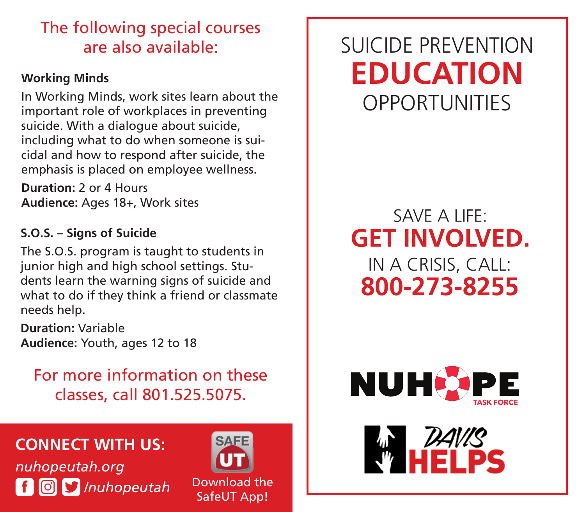# The following special courses are also available:

#### **Working Minds**

In Working Minds, work sites learn about the important role of workplaces in preventing suicide. With a dialogue about suicide, including what to do when someone is suicidal and how to respond after suicide, the emphasis is placed on employee wellness.

**Duration:** 2 or 4 Hours **Audience:** Ages 18+, Work sites

### **S.O.S. – Signs of Suicide**

The S.O.S. program is taught to students in junior high and high school settings. Students learn the warning signs of suicide and what to do if they think a friend or classmate needs help.

**Duration:** Variable **Audience:** Youth, ages 12 to 18

For more information on these classes, call 801.525.5075.

## **CONNECT WITH US:**

*nuhopeutah.org* **f i i** */nuhopeutah Download the SafeUT App!* 

Download the

# SUICIDE PREVENTION **EDUCATION OPPORTUNITIES**

# SAVE A LIFE: **GET INVOLVED.** IN A CRISIS, CALL: **800-273-8255**